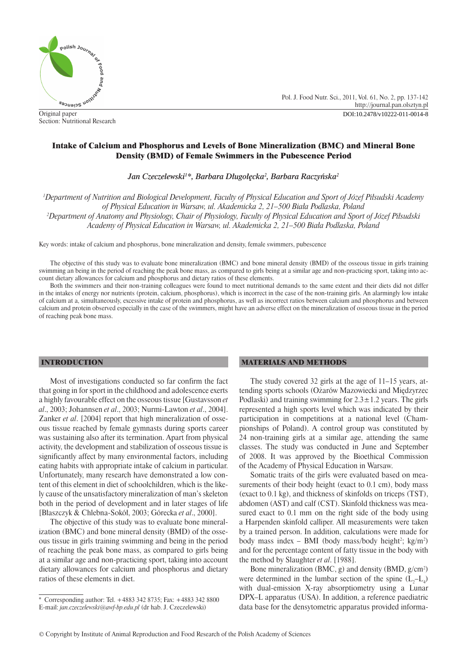

Original paper Section: Nutritional Research

# Intake of Calcium and Phosphorus and Levels of Bone Mineralization (BMC) and Mineral Bone Density (BMD) of Female Swimmers in the Pubescence Period

*Jan Czeczelewski1 \*, Barbara Długołęcka2 , Barbara Raczyńska2*

*1 Department of Nutrition and Biological Development, Faculty of Physical Education and Sport of Józef Piłsudski Academy of Physical Education in Warsaw, ul. Akademicka 2, 21–500 Biała Podlaska, Poland 2 Department of Anatomy and Physiology, Chair of Physiology, Faculty of Physical Education and Sport of Józef Piłsudski Academy of Physical Education in Warsaw, ul. Akademicka 2, 21–500 Biała Podlaska, Poland*

Key words: intake of calcium and phosphorus, bone mineralization and density, female swimmers, pubescence

The objective of this study was to evaluate bone mineralization (BMC) and bone mineral density (BMD) of the osseous tissue in girls training swimming an being in the period of reaching the peak bone mass, as compared to girls being at a similar age and non-practicing sport, taking into account dietary allowances for calcium and phosphorus and dietary ratios of these elements.

Both the swimmers and their non-training colleagues were found to meet nutritional demands to the same extent and their diets did not differ in the intakes of energy nor nutrients (protein, calcium, phosphorus), which is incorrect in the case of the non-training girls. An alarmingly low intake of calcium at a, simultaneously, excessive intake of protein and phosphorus, as well as incorrect ratios between calcium and phosphorus and between calcium and protein observed especially in the case of the swimmers, might have an adverse effect on the mineralization of osseous tissue in the period of reaching peak bone mass.

### INTRODUCTION

Most of investigations conducted so far confirm the fact that going in for sport in the childhood and adolescence exerts a highly favourable effect on the osseous tissue [Gustavsson *et al*., 2003; Johannsen *et al*., 2003; Nurmi-Lawton *et al*., 2004]. Zanker *et al*. [2004] report that high mineralization of osseous tissue reached by female gymnasts during sports career was sustaining also after its termination. Apart from physical activity, the development and stabilization of osseous tissue is significantly affect by many environmental factors, including eating habits with appropriate intake of calcium in particular. Unfortunately, many research have demonstrated a low content of this element in diet of schoolchildren, which is the likely cause of the unsatisfactory mineralization of man's skeleton both in the period of development and in later stages of life [Błaszczyk & Chlebna-Sokół, 2003; Górecka *et al*., 2000].

The objective of this study was to evaluate bone mineralization (BMC) and bone mineral density (BMD) of the osseous tissue in girls training swimming and being in the period of reaching the peak bone mass, as compared to girls being at a similar age and non-practicing sport, taking into account dietary allowances for calcium and phosphorus and dietary ratios of these elements in diet.

### MATERIALS AND METHODS

The study covered 32 girls at the age of 11–15 years, attending sports schools (Ożarów Mazowiecki and Międzyrzec Podlaski) and training swimming for  $2.3 \pm 1.2$  years. The girls represented a high sports level which was indicated by their participation in competitions at a national level (Championships of Poland). A control group was constituted by 24 non-training girls at a similar age, attending the same classes. The study was conducted in June and September of 2008. It was approved by the Bioethical Commission of the Academy of Physical Education in Warsaw.

Somatic traits of the girls were evaluated based on measurements of their body height (exact to 0.1 cm), body mass (exact to 0.1 kg), and thickness of skinfolds on triceps (TST), abdomen (AST) and calf (CST). Skinfold thickness was measured exact to 0.1 mm on the right side of the body using a Harpenden skinfold calliper. All measurements were taken by a trained person. In addition, calculations were made for body mass index – BMI (body mass/body height<sup>2</sup>; kg/m<sup>2</sup>) and for the percentage content of fatty tissue in the body with the method by Slaughter *et al*. [1988].

Bone mineralization (BMC, g) and density (BMD, g/cm2 ) were determined in the lumbar section of the spine  $(L_2-L_4)$ with dual-emission X-ray absorptiometry using a Lunar DPX–L apparatus (USA). In addition, a reference paediatric data base for the densytometric apparatus provided informa-

<sup>\*</sup> Corresponding author: Tel. +4883 342 8735; Fax: +4883 342 8800 E-mail: *jan.czeczelewski@awf-bp.edu.pl* (dr hab. J. Czeczelewski)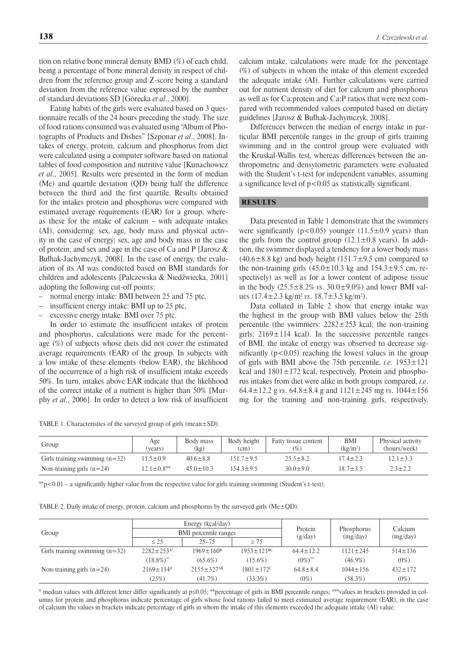tion on relative bone mineral density BMD (%) of each child, being a percentage of bone mineral density in respect of children from the reference group and Z-score being a standard deviation from the reference value expressed by the number of standard deviations SD [Górecka *et al*., 2000].

Eating habits of the girls were evaluated based on 3 questionnaire recalls of the 24 hours preceding the study. The size of food rations consumed was evaluated using "Album of Photographs of Products and Dishes" [Szponar *et al*., 2008]. Intakes of energy, protein, calcium and phosphorus from diet were calculated using a computer software based on national tables of food composition and nutritive value [Kunachowicz *et al*., 2005]. Results were presented in the form of median (Me) and quartile deviation (QD) being half the difference between the third and the first quartile. Results obtained for the intakes protein and phosphorus were compared with estimated average requirements (EAR) for a group, whereas these for the intake of calcium – with adequate intakes (AI), considering: sex, age, body mass and physical activity in the case of energy; sex, age and body mass in the case of protein; and sex and age in the case of Ca and P [Jarosz & Bułhak-Jachymczyk, 2008]. In the case of energy, the evaluation of its AI was conducted based on BMI standards for children and adolescents [Palczewska & Niedźwiecka, 2001] adopting the following cut-off points:

- normal energy intake: BMI between 25 and 75 ptc,
- insufficient energy intake: BMI up to 25 ptc,
- excessive energy intake: BMI over 75 ptc.

In order to estimate the insufficient intakes of protein and phosphorus, calculations were made for the percentage (%) of subjects whose diets did not cover the estimated average requirements (EAR) of the group. In subjects with a low intake of these elements (below EAR), the likelihood of the occurrence of a high risk of insufficient intake exceeds 50%. In turn, intakes above EAR indicate that the likelihood of the correct intake of a nutrient is higher than 50% [Murphy *et al.*, 2006]. In order to detect a low risk of insufficient

TABLE 1. Characteristics of the surveyed group of girls (mean $\pm$ SD).

calcium intake, calculations were made for the percentage (%) of subjects in whom the intake of this element exceeded the adequate intake (AI). Further calculations were carried out for nutrient density of diet for calcium and phosphorus as well as for Ca:protein and Ca:P ratios that were next compared with recommended values computed based on dietary guidelines [Jarosz & Bułhak-Jachymczyk, 2008].

Differences between the median of energy intake in particular BMI percentile ranges in the group of girls training swimming and in the control group were evaluated with the Kruskal-Wallis test, whereas differences between the anthropometric and densytometric parameters were evaluated with the Student's t-test for independent variables, assuming a significance level of  $p < 0.05$  as statistically significant.

## **RESULTS**

Data presented in Table 1 demonstrate that the swimmers were significantly ( $p < 0.05$ ) younger (11.5 $\pm$ 0.9 years) than the girls from the control group  $(12.1 \pm 0.8 \text{ years})$ . In addition, the swimmer displayed a tendency for a lower body mass  $(40.6\pm8.8 \text{ kg})$  and body height  $(151.7\pm9.5 \text{ cm})$  compared to the non-training girls  $(45.0 \pm 10.3 \text{ kg and } 154.3 \pm 9.5 \text{ cm}, \text{re-}$ spectively) as well as for a lower content of adipose tissue in the body (25.5±8.2% *vs*. 30.0±9.0%) and lower BMI values  $(17.4 \pm 2.3 \text{ kg/m}^2 \text{ vs. } 18.7 \pm 3.5 \text{ kg/m}^2)$ .

Data collated in Table 2 show that energy intake was the highest in the group with BMI values below the 25th percentile (the swimmers:  $2282 \pm 253$  kcal; the non-training girls:  $2169 \pm 114$  kcal). In the successive percentile ranges of BMI, the intake of energy was observed to decrease significantly  $(p<0.05)$  reaching the lowest values in the group of girls with BMI above the 75th percentile, *i.e.* 1953±121 kcal and  $1801 \pm 172$  kcal, respectively. Protein and phosphorus intakes from diet were alike in both groups compared, *i.e*. 64.4 $\pm$ 12.2 g *vs*. 64.8 $\pm$ 8.4 g and 1121 $\pm$ 245 mg *vs*. 1044 $\pm$ 156 mg for the training and non-training girls, respectively.

| Group                            | Age<br>(vears)    | Body mass<br>(kg) | Body height<br>(c <sub>m</sub> ) | Fatty tissue content<br>$(\% )$ | <b>BMI</b><br>(kg/m <sup>2</sup> ) | Physical activity<br>(hours/week) |
|----------------------------------|-------------------|-------------------|----------------------------------|---------------------------------|------------------------------------|-----------------------------------|
| Girls training swimming $(n=32)$ | $11.5 \pm 0.9$    | $40.6 \pm 8.8$    | 151.7±9.5                        | $25.5 \pm 8.2$                  | $17.4 \pm 2.3$                     | $2.1 \pm 3.3$                     |
| Non-training girls $(n=24)$      | $12.1 \pm 0.8$ ** | $45.0 \pm 10.3$   | $154.3 \pm 9.5$                  | $30.0 \pm 9.0$                  | $18.7 \pm 3.5$                     | $2.3 \pm 2.2$                     |

\*\*p<0.01 – a significantly higher value from the respective value for girls training swimming (Student's t-test).

TABLE 2. Daily intake of energy, protein, calcium and phosphorus by the surveyed girls (Me $\pm$ QD).

| Group                            |                              | Energy (kcal/day)<br>BMI percentile ranges |                              | Protein<br>(g/day)     | Phosphorus<br>(mg/day) | Calcium<br>(mg/day) |
|----------------------------------|------------------------------|--------------------------------------------|------------------------------|------------------------|------------------------|---------------------|
|                                  | < 25                         | $25 - 75$                                  | > 75                         |                        |                        |                     |
| Girls training swimming $(n=32)$ | $2282 \pm 253$ <sup>A*</sup> | $1969 \pm 160^8$                           | $1953 \pm 121$ <sup>BC</sup> | $64.4 \pm 12.2$        | $1121 \pm 245$         | $514 \pm 136$       |
|                                  | $(18.8\%)^*$                 | $(65.6\%)$                                 | $(15.6\%)$                   | $(0\%)$ <sup>***</sup> | $(46.9\%)$             | $(0\%)$             |
| Non-training girls $(n=24)$      | $2169 \pm 114$ <sup>A</sup>  | $2155 \pm 327$ <sup>AB</sup>               | $1801 \pm 172$ <sup>C</sup>  | $64.8 \pm 8.4$         | $1044 \pm 156$         | $432 \pm 172$       |
|                                  | (25%)                        | (41.7%)                                    | $(33.3\%)$                   | $(0\%)$                | (58.3%)                | $(0\%)$             |

\* median values with different letter differ significantly at p≤0.05; \*\*percentage of girls in BMI percentile ranges; \*\*\*values in brackets provided in columns for protein and phosphorus indicate percentage of girls whose food rations failed to meet estimated average requirement (EAR), in the case of calcium the values in brackets indicate percentage of girls in whom the intake of this elements exceeded the adequate intake (AI) value.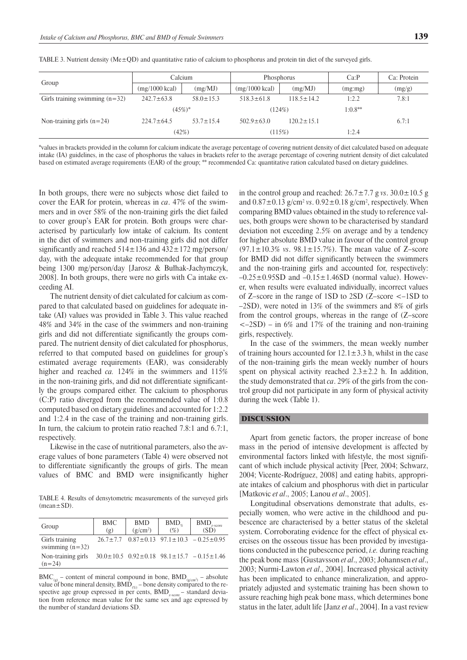| Group                            | Calcium                  |                 | Phosphorus               |                  | Ca:P      | Ca: Protein |
|----------------------------------|--------------------------|-----------------|--------------------------|------------------|-----------|-------------|
|                                  | $(mg/1000 \text{ kcal})$ | (mg/MJ)         | $(mg/1000 \text{ kcal})$ | (mg/MJ)          | (mg:mg)   | (mg/g)      |
| Girls training swimming $(n=32)$ | $242.7 \pm 63.8$         | $58.0 \pm 15.3$ | $518.3 \pm 61.8$         | $118.5 \pm 14.2$ | 1:2.2     | 7.8:1       |
|                                  | $(45%)^*$                |                 | (124%)                   |                  | $1:0.8**$ |             |
| Non-training girls $(n=24)$      | $224.7 \pm 64.5$         | $53.7 \pm 15.4$ | $502.9 \pm 63.0$         | $120.2 \pm 15.1$ |           | 6.7:1       |
|                                  | (42%)                    |                 | (115%)                   |                  | 1:2.4     |             |

TABLE 3. Nutrient density ( $Me\pm OD$ ) and quantitative ratio of calcium to phosphorus and protein tin diet of the surveyed girls.

\*values in brackets provided in the column for calcium indicate the average percentage of covering nutrient density of diet calculated based on adequate intake (IA) guidelines, in the case of phosphorus the values in brackets refer to the average percentage of covering nutrient density of diet calculated based on estimated average requirements (EAR) of the group; \*\* recommended Ca: quantitative ration calculated based on dietary guidelines.

In both groups, there were no subjects whose diet failed to cover the EAR for protein, whereas in *ca*. 47% of the swimmers and in over 58% of the non-training girls the diet failed to cover group's EAR for protein. Both groups were characterised by particularly low intake of calcium. Its content in the diet of swimmers and non-training girls did not differ significantly and reached  $514 \pm 136$  and  $432 \pm 172$  mg/person/ day, with the adequate intake recommended for that group being 1300 mg/person/day [Jarosz & Bułhak-Jachymczyk, 2008]. In both groups, there were no girls with Ca intake exceeding AI.

The nutrient density of diet calculated for calcium as compared to that calculated based on guidelines for adequate intake (AI) values was provided in Table 3. This value reached 48% and 34% in the case of the swimmers and non-training girls and did not differentiate significantly the groups compared. The nutrient density of diet calculated for phosphorus, referred to that computed based on guidelines for group's estimated average requirements (EAR), was considerably higher and reached *ca.* 124% in the swimmers and 115% in the non-training girls, and did not differentiate significantly the groups compared either. The calcium to phosphorus (C:P) ratio diverged from the recommended value of 1:0.8 computed based on dietary guidelines and accounted for 1:2.2 and 1:2.4 in the case of the training and non-training girls. In turn, the calcium to protein ratio reached 7.8:1 and 6.7:1, respectively.

Likewise in the case of nutritional parameters, also the average values of bone parameters (Table 4) were observed not to differentiate significantly the groups of girls. The mean values of BMC and BMD were insignificantly higher

TABLE 4. Results of densytometric measurements of the surveyed girls  $(mean + SD)$ 

| Group                               | BMC<br>(g) | <b>BMD</b><br>(g/cm <sup>2</sup> ) | $BMD_{\alpha}$<br>$(\% )$ | BMD <sub>z</sub><br>z-score<br>(SD)                              |
|-------------------------------------|------------|------------------------------------|---------------------------|------------------------------------------------------------------|
| Girls training<br>swimming $(n=32)$ |            |                                    |                           | $26.7 \pm 7.7$ $0.87 \pm 0.13$ $97.1 \pm 10.3$ $-0.25 \pm 0.95$  |
| Non-training girls<br>$(n=24)$      |            |                                    |                           | $30.0 \pm 10.5$ $0.92 \pm 0.18$ $98.1 \pm 15.7$ $-0.15 \pm 1.46$ |

 $BMC_{(g)}$  – content of mineral compound in bone,  $BMD_{(g/cm^2)}$  – absolute value of bone mineral density,  $BMD_{\binom{\alpha}{2}}$  – bone density compared to the respective age group expressed in per cents,  $BMD_{z\text{-score}}$  – standard deviation from reference mean value for the same sex and age expressed by the number of standard deviations SD.

in the control group and reached:  $26.7 \pm 7.7$  g *vs*.  $30.0 \pm 10.5$  g and  $0.87 \pm 0.13$  g/cm<sup>2</sup> *vs*.  $0.92 \pm 0.18$  g/cm<sup>2</sup>, respectively. When comparing BMD values obtained in the study to reference values, both groups were shown to be characterised by standard deviation not exceeding 2.5% on average and by a tendency for higher absolute BMD value in favour of the control group (97.1±10.3% *vs*. 98.1±15.7%). The mean value of Z–score for BMD did not differ significantly between the swimmers and the non-training girls and accounted for, respectively:  $-0.25\pm0.95SD$  and  $-0.15\pm1.46SD$  (normal value). However, when results were evaluated individually, incorrect values of Z–score in the range of 1SD to 2SD (Z–score <–1SD to –2SD), were noted in 13% of the swimmers and 8% of girls from the control groups, whereas in the range of (Z–score  $\langle -2SD \rangle$  – in 6% and 17% of the training and non-training girls, respectively.

In the case of the swimmers, the mean weekly number of training hours accounted for  $12.1 \pm 3.3$  h, whilst in the case of the non-training girls the mean weekly number of hours spent on physical activity reached  $2.3 \pm 2.2$  h. In addition, the study demonstrated that *ca*. 29% of the girls from the control group did not participate in any form of physical activity during the week (Table 1).

#### DISCUSSION

Apart from genetic factors, the proper increase of bone mass in the period of intensive development is affected by environmental factors linked with lifestyle, the most significant of which include physical activity [Peer, 2004; Schwarz, 2004; Vicente-Rodríguez, 2008] and eating habits, appropriate intakes of calcium and phosphorus with diet in particular [Matkovic *et al*., 2005; Lanou *et al*., 2005].

Longitudinal observations demonstrate that adults, especially women, who were active in the childhood and pubescence are characterised by a better status of the skeletal system. Corroborating evidence for the effect of physical exercises on the osseous tissue has been provided by investigations conducted in the pubescence period, *i.e.* during reaching the peak bone mass [Gustavsson *et al*., 2003; Johannsen *et al*., 2003; Nurmi-Lawton *et al*., 2004]. Increased physical activity has been implicated to enhance mineralization, and appropriately adjusted and systematic training has been shown to assure reaching high peak bone mass, which determines bone status in the later, adult life [Janz *et al*., 2004]. In a vast review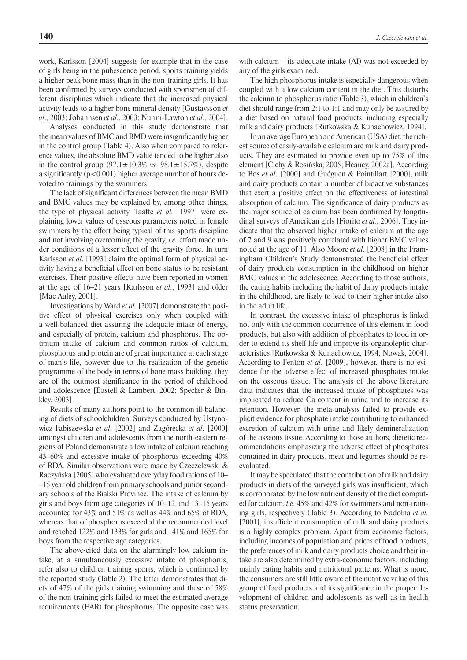work, Karlsson [2004] suggests for example that in the case of girls being in the pubescence period, sports training yields a higher peak bone mass than in the non-training girls. It has been confirmed by surveys conducted with sportsmen of different disciplines which indicate that the increased physical activity leads to a higher bone mineral density [Gustavsson *et al*., 2003; Johannsen *et al*., 2003; Nurmi-Lawton *et al*., 2004].

Analyses conducted in this study demonstrate that the mean values of BMC and BMD were insignificantly higher in the control group (Table 4). Also when compared to reference values, the absolute BMD value tended to be higher also in the control group  $(97.1 \pm 10.3\% \text{ vs. } 98.1 \pm 15.7\%)$ , despite a significantly (p<0.001) higher average number of hours devoted to trainings by the swimmers.

The lack of significant differences between the mean BMD and BMC values may be explained by, among other things, the type of physical activity. Taaffe *et al.* [1997] were explaining lower values of osseous parameters noted in female swimmers by the effort being typical of this sports discipline and not involving overcoming the gravity, *i.e.* effort made under conditions of a lesser effect of the gravity force. In turn Karlsson *et al*. [1993] claim the optimal form of physical activity having a beneficial effect on bone status to be resistant exercises. Their positive effects have been reported in women at the age of 16–21 years [Karlsson *et al*., 1993] and older [Mac Auley, 2001].

Investigations by Ward *et al*. [2007] demonstrate the positive effect of physical exercises only when coupled with a well-balanced diet assuring the adequate intake of energy, and especially of protein, calcium and phosphorus. The optimum intake of calcium and common ratios of calcium, phosphorus and protein are of great importance at each stage of man's life, however due to the realization of the genetic programme of the body in terms of bone mass building, they are of the outmost significance in the period of childhood and adolescence [Eastell & Lambert, 2002; Specker & Binkley, 2003].

Results of many authors point to the common ill-balancing of diets of schoolchildren. Surveys conducted by Ustynowicz-Fabiszewska *et al*. [2002] and Zagórecka *et al*. [2000] amongst children and adolescents from the north-eastern regions of Poland demonstrate a low intake of calcium reaching 43–60% and excessive intake of phosphorus exceeding 40% of RDA. Similar observations were made by Czeczelewski & Raczyńska [2005] who evaluated everyday food rations of 10– –15 year old children from primary schools and junior secondary schools of the Bialski Province. The intake of calcium by girls and boys from age categories of 10–12 and 13–15 years accounted for 43% and 51% as well as 44% and 65% of RDA, whereas that of phosphorus exceeded the recommended level and reached 122% and 133% for girls and 141% and 165% for boys from the respective age categories.

The above-cited data on the alarmingly low calcium intake, at a simultaneously excessive intake of phosphorus, refer also to children training sports, which is confirmed by the reported study (Table 2). The latter demonstrates that diets of 47% of the girls training swimming and these of 58% of the non-training girls failed to meet the estimated average requirements (EAR) for phosphorus. The opposite case was

with calcium – its adequate intake (AI) was not exceeded by any of the girls examined.

The high phosphorus intake is especially dangerous when coupled with a low calcium content in the diet. This disturbs the calcium to phosphorus ratio (Table 3), which in children's diet should range from 2:1 to 1:1 and may only be assured by a diet based on natural food products, including especially milk and dairy products [Rutkowska & Kunachowicz, 1994].

In an average European andAmerican (USA) diet, the richest source of easily-available calcium are milk and dairy products. They are estimated to provide even up to 75% of this element [Cichy & Rosińska, 2005; Heaney, 2002a]. According to Bos *et al*. [2000] and Guéguen & Pointillart [2000], milk and dairy products contain a number of bioactive substances that exert a positive effect on the effectiveness of intestinal absorption of calcium. The significance of dairy products as the major source of calcium has been confirmed by longitudinal surveys of American girls [Fiorito *et al*., 2006]. They indicate that the observed higher intake of calcium at the age of 7 and 9 was positively correlated with higher BMC values noted at the age of 11. Also Moore *et al*. [2008] in the Framingham Children's Study demonstrated the beneficial effect of dairy products consumption in the childhood on higher BMC values in the adolescence. According to those authors, the eating habits including the habit of dairy products intake in the childhood, are likely to lead to their higher intake also in the adult life.

In contrast, the excessive intake of phosphorus is linked not only with the common occurrence of this element in food products, but also with addition of phosphates to food in order to extend its shelf life and improve its organoleptic characteristics [Rutkowska & Kunachowicz, 1994; Nowak, 2004]. According to Fenton *et al*. [2009], however, there is no evidence for the adverse effect of increased phosphates intake on the osseous tissue. The analysis of the above literature data indicates that the increased intake of phosphates was implicated to reduce Ca content in urine and to increase its retention. However, the meta-analysis failed to provide explicit evidence for phosphate intake contributing to enhanced excretion of calcium with urine and likely demineralization of the osseous tissue. According to those authors, dietetic recommendations emphasizing the adverse effect of phosphates contained in dairy products, meat and legumes should be reevaluated.

It may be speculated that the contribution of milk and dairy products in diets of the surveyed girls was insufficient, which is corroborated by the low nutrient density of the diet computed for calcium, *i.e.* 45% and 42% for swimmers and non-training girls, respectively (Table 3). According to Nadolna *et al.* [2001], insufficient consumption of milk and dairy products is a highly complex problem. Apart from economic factors, including incomes of population and prices of food products, the preferences of milk and dairy products choice and their intake are also determined by extra-economic factors, including mainly eating habits and nutritional patterns. What is more, the consumers are still little aware of the nutritive value of this group of food products and its significance in the proper development of children and adolescents as well as in health status preservation.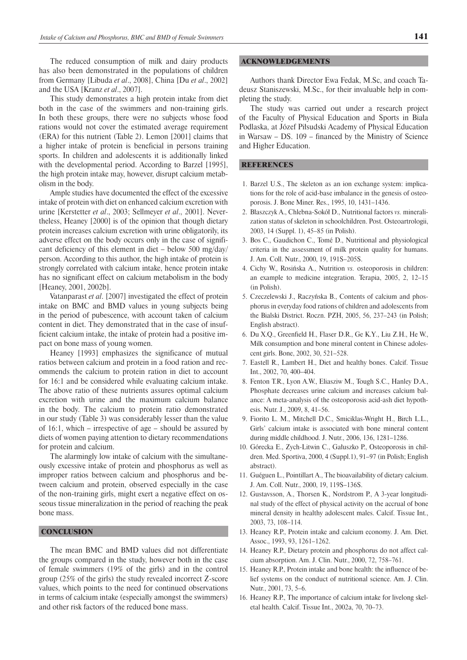The reduced consumption of milk and dairy products has also been demonstrated in the populations of children from Germany [Libuda *et al*., 2008], China [Du *et al*., 2002] and the USA [Kranz *et al*., 2007].

This study demonstrates a high protein intake from diet both in the case of the swimmers and non-training girls. In both these groups, there were no subjects whose food rations would not cover the estimated average requirement (ERA) for this nutrient (Table 2). Lemon [2001] claims that a higher intake of protein is beneficial in persons training sports. In children and adolescents it is additionally linked with the developmental period. According to Barzel [1995], the high protein intake may, however, disrupt calcium metabolism in the body.

Ample studies have documented the effect of the excessive intake of protein with diet on enhanced calcium excretion with urine [Kerstetter *et al*., 2003; Sellmeyer *et al*., 2001]. Nevertheless, Heaney [2000] is of the opinion that though dietary protein increases calcium excretion with urine obligatorily, its adverse effect on the body occurs only in the case of significant deficiency of this element in diet – below 500 mg/day/ person. According to this author, the high intake of protein is strongly correlated with calcium intake, hence protein intake has no significant effect on calcium metabolism in the body [Heaney, 2001, 2002b].

Vatanparast *et al*. [2007] investigated the effect of protein intake on BMC and BMD values in young subjects being in the period of pubescence, with account taken of calcium content in diet. They demonstrated that in the case of insufficient calcium intake, the intake of protein had a positive impact on bone mass of young women.

Heaney [1993] emphasizes the significance of mutual ratios between calcium and protein in a food ration and recommends the calcium to protein ration in diet to account for 16:1 and be considered while evaluating calcium intake. The above ratio of these nutrients assures optimal calcium excretion with urine and the maximum calcium balance in the body. The calcium to protein ratio demonstrated in our study (Table 3) was considerably lesser than the value of 16:1, which – irrespective of age – should be assured by diets of women paying attention to dietary recommendations for protein and calcium.

The alarmingly low intake of calcium with the simultaneously excessive intake of protein and phosphorus as well as improper ratios between calcium and phosphorus and between calcium and protein, observed especially in the case of the non-training girls, might exert a negative effect on osseous tissue mineralization in the period of reaching the peak bone mass.

### **CONCLUSION**

The mean BMC and BMD values did not differentiate the groups compared in the study, however both in the case of female swimmers (19% of the girls) and in the control group (25% of the girls) the study revealed incorrect Z-score values, which points to the need for continued observations in terms of calcium intake (especially amongst the swimmers) and other risk factors of the reduced bone mass.

#### ACKNOWLEDGEMENTS

Authors thank Director Ewa Fedak, M.Sc, and coach Tadeusz Staniszewski, M.Sc., for their invaluable help in completing the study.

The study was carried out under a research project of the Faculty of Physical Education and Sports in Biała Podlaska, at Józef Piłsudski Academy of Physical Education in Warsaw – DS. 109 – financed by the Ministry of Science and Higher Education.

#### **REFERENCES**

- 1. Barzel U.S., The skeleton as an ion exchange system: implications for the role of acid-base imbalance in the genesis of osteoporosis. J. Bone Miner. Res., 1995, 10, 1431–1436.
- 2. Błaszczyk A., Chlebna-Sokół D., Nutritional factors *vs.* mineralization status of skeleton in schoolchildren. Post. Osteoartrologii, 2003, 14 (Suppl. 1), 45–85 (in Polish).
- 3. Bos C., Gaudichon C., Tomé D., Nutritional and physiological criteria in the assessment of milk protein quality for humans. J. Am. Coll. Nutr., 2000, 19, 191S–205S.
- 4. Cichy W., Rosińska A., Nutrition *vs.* osteoporosis in children: an example to medicine integration. Terapia, 2005, 2, 12–15 (in Polish).
- 5. Czeczelewski J., Raczyńska B., Contents of calcium and phosphorus in everyday food rations of children and adolescents from the Bialski District. Roczn. PZH, 2005, 56, 237–243 (in Polish; English abstract).
- 6. Du X.Q., Greenfield H., Flaser D.R., Ge K.Y., Liu Z.H., He W., Milk consumption and bone mineral content in Chinese adolescent girls. Bone, 2002, 30, 521–528.
- 7. Eastell R., Lambert H., Diet and healthy bones. Calcif. Tissue Int., 2002, 70, 400–404.
- 8. Fenton T.R., Lyon A.W., Eliasziw M., Tough S.C., Hanley D.A., Phosphate decreases urine calcium and increases calcium balance: A meta-analysis of the osteoporosis acid-ash diet hypothesis. Nutr. J., 2009, 8, 41–56.
- 9. Fiorito L. M., Mitchell D.C., Smiciklas-Wright H., Birch L.L., Girls' calcium intake is associated with bone mineral content during middle childhood. J. Nutr., 2006, 136, 1281–1286.
- 10. Górecka E., Zych-Litwin C., Gałuszko P., Osteoporosis in children. Med. Sportiva, 2000, 4 (Suppl.1), 91–97 (in Polish; English abstract).
- 11. Guéguen L., Pointillart A., The bioavailability of dietary calcium. J. Am. Coll. Nutr., 2000, 19, 119S–136S.
- 12. Gustavsson, A., Thorsen K., Nordstrom P., A 3-year longitudinal study of the effect of physical activity on the accrual of bone mineral density in healthy adolescent males. Calcif. Tissue Int., 2003, 73, 108–114.
- 13. Heaney R.P., Protein intake and calcium economy. J. Am. Diet. Assoc., 1993, 93, 1261–1262.
- 14. Heaney R.P., Dietary protein and phosphorus do not affect calcium absorption. Am. J. Clin. Nutr., 2000, 72, 758–761.
- 15. Heaney R.P., Protein intake and bone health: the influence of belief systems on the conduct of nutritional science. Am. J. Clin. Nutr., 2001, 73, 5–6.
- 16. Heaney R.P., The importance of calcium intake for livelong skeletal health. Calcif. Tissue Int., 2002a, 70, 70–73.